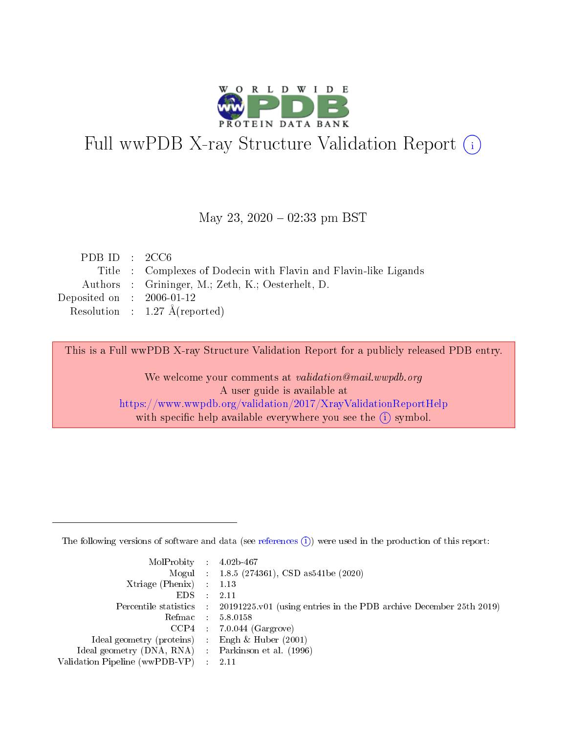

# Full wwPDB X-ray Structure Validation Report (i)

#### May 23,  $2020 - 02:33$  pm BST

| PDB ID : $2CC6$             |                                                                 |
|-----------------------------|-----------------------------------------------------------------|
|                             | Title: Complexes of Dodecin with Flavin and Flavin-like Ligands |
|                             | Authors : Grininger, M.; Zeth, K.; Oesterhelt, D.               |
| Deposited on : $2006-01-12$ |                                                                 |
|                             | Resolution : $1.27 \text{ Å}$ (reported)                        |

This is a Full wwPDB X-ray Structure Validation Report for a publicly released PDB entry.

We welcome your comments at validation@mail.wwpdb.org A user guide is available at <https://www.wwpdb.org/validation/2017/XrayValidationReportHelp> with specific help available everywhere you see the  $(i)$  symbol.

The following versions of software and data (see [references](https://www.wwpdb.org/validation/2017/XrayValidationReportHelp#references)  $(1)$ ) were used in the production of this report:

| $MolProbability$ : 4.02b-467                        |                                                                                            |
|-----------------------------------------------------|--------------------------------------------------------------------------------------------|
|                                                     | Mogul : $1.8.5$ (274361), CSD as 541be (2020)                                              |
| Xtriage (Phenix) $: 1.13$                           |                                                                                            |
| EDS                                                 | -2.11                                                                                      |
|                                                     | Percentile statistics : 20191225.v01 (using entries in the PDB archive December 25th 2019) |
| Refmac 58.0158                                      |                                                                                            |
|                                                     | $CCP4$ 7.0.044 (Gargrove)                                                                  |
| Ideal geometry (proteins) : Engh $\&$ Huber (2001)  |                                                                                            |
| Ideal geometry (DNA, RNA) : Parkinson et al. (1996) |                                                                                            |
| Validation Pipeline (wwPDB-VP) : 2.11               |                                                                                            |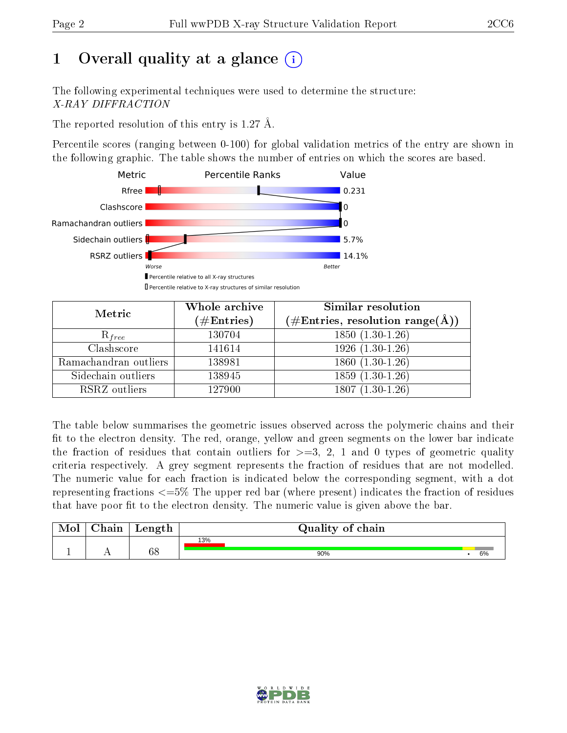## 1 [O](https://www.wwpdb.org/validation/2017/XrayValidationReportHelp#overall_quality)verall quality at a glance  $(i)$

The following experimental techniques were used to determine the structure: X-RAY DIFFRACTION

The reported resolution of this entry is 1.27 Å.

Percentile scores (ranging between 0-100) for global validation metrics of the entry are shown in the following graphic. The table shows the number of entries on which the scores are based.



| Metric                | Whole archive<br>$(\#\text{Entries})$ | Similar resolution<br>$(\#\text{Entries}, \text{resolution range}(\text{\AA}))$ |
|-----------------------|---------------------------------------|---------------------------------------------------------------------------------|
| $R_{free}$            | 130704                                | $1850(1.30-1.26)$                                                               |
| Clashscore            | 141614                                | $1926(1.30-1.26)$                                                               |
| Ramachandran outliers | 138981                                | $1860(1.30-1.26)$                                                               |
| Sidechain outliers    | 138945                                | $1859(1.30-1.26)$                                                               |
| RSRZ outliers         | 127900                                | $1807(1.30-1.26)$                                                               |

The table below summarises the geometric issues observed across the polymeric chains and their fit to the electron density. The red, orange, yellow and green segments on the lower bar indicate the fraction of residues that contain outliers for  $>=$  3, 2, 1 and 0 types of geometric quality criteria respectively. A grey segment represents the fraction of residues that are not modelled. The numeric value for each fraction is indicated below the corresponding segment, with a dot representing fractions  $\epsilon=5\%$  The upper red bar (where present) indicates the fraction of residues that have poor fit to the electron density. The numeric value is given above the bar.

|           | $\gamma$ hain | Length   | Quality of chain |    |
|-----------|---------------|----------|------------------|----|
| <u>д.</u> | . .           | cο<br>0c | 13%<br>90%       | 6% |

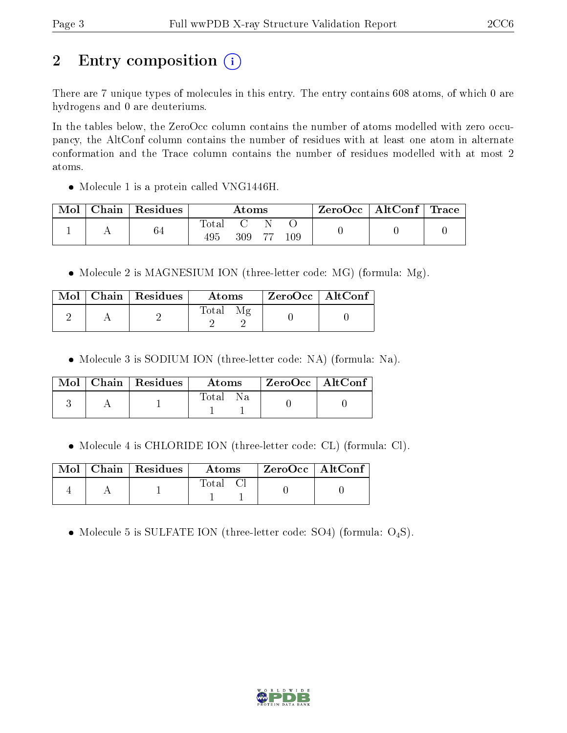# 2 Entry composition  $\left( \cdot \right)$

There are 7 unique types of molecules in this entry. The entry contains 608 atoms, of which 0 are hydrogens and 0 are deuteriums.

In the tables below, the ZeroOcc column contains the number of atoms modelled with zero occupancy, the AltConf column contains the number of residues with at least one atom in alternate conformation and the Trace column contains the number of residues modelled with at most 2 atoms.

• Molecule 1 is a protein called VNG1446H.

| Mol | Chain Residues | Atoms         |     | $\text{ZeroOcc} \mid \text{AltConf} \mid \text{Trace}$ |     |  |  |
|-----|----------------|---------------|-----|--------------------------------------------------------|-----|--|--|
|     | 64             | fotal<br>495. | 309 | 77                                                     | 109 |  |  |

• Molecule 2 is MAGNESIUM ION (three-letter code: MG) (formula: Mg).

|  | $\text{Mol}$   Chain   Residues | Atoms | $\rm ZeroOcc \mid AltConf$ |  |
|--|---------------------------------|-------|----------------------------|--|
|  |                                 | Total |                            |  |

Molecule 3 is SODIUM ION (three-letter code: NA) (formula: Na).

|  | Mol   Chain   Residues | Atoms        | $\mid$ ZeroOcc $\mid$ AltConf $\mid$ |  |
|--|------------------------|--------------|--------------------------------------|--|
|  |                        | Total<br>N a |                                      |  |

Molecule 4 is CHLORIDE ION (three-letter code: CL) (formula: Cl).

|  | $\text{Mol}$   Chain   Residues | Atoms | $ZeroOcc$   AltConf |  |
|--|---------------------------------|-------|---------------------|--|
|  |                                 | Total |                     |  |

• Molecule 5 is SULFATE ION (three-letter code: SO4) (formula:  $O_4S$ ).

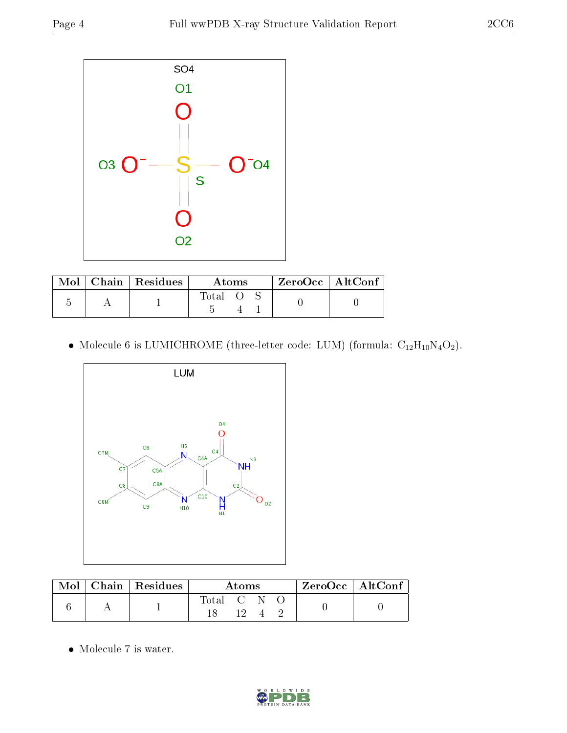

| Mol | Chain   Residues | Atoms |  |  | $ZeroOcc$   AltConf |  |
|-----|------------------|-------|--|--|---------------------|--|
|     |                  | Total |  |  |                     |  |

 $\bullet$  Molecule 6 is LUMICHROME (three-letter code: LUM) (formula:  $\rm{C}_{12}H_{10}N_4O_2).$ 



|  | $Mol$   Chain   Residues | Atoms     |  |  |  | ZeroOcc   AltConf |  |
|--|--------------------------|-----------|--|--|--|-------------------|--|
|  |                          | Total C N |  |  |  |                   |  |

 $\bullet\,$  Molecule 7 is water.

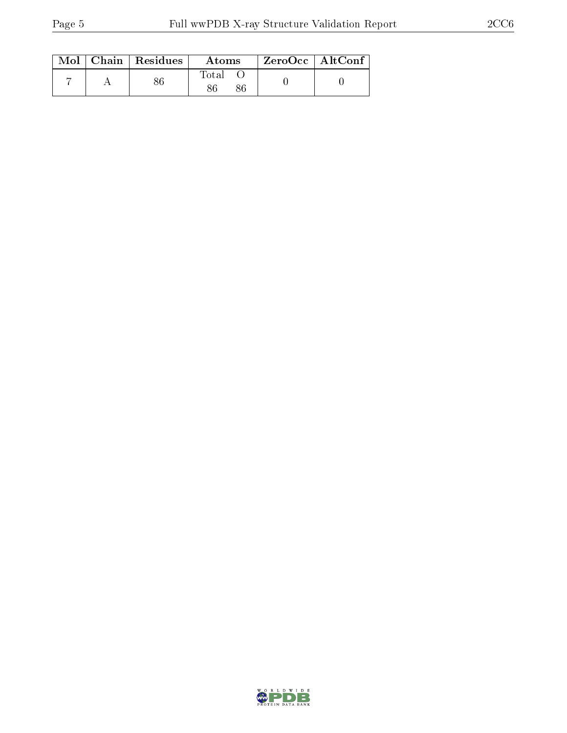|  | $Mol$   Chain   Residues | Atoms | $\rm ZeroOcc \mid AltConf \mid$ |
|--|--------------------------|-------|---------------------------------|
|  |                          | Total |                                 |

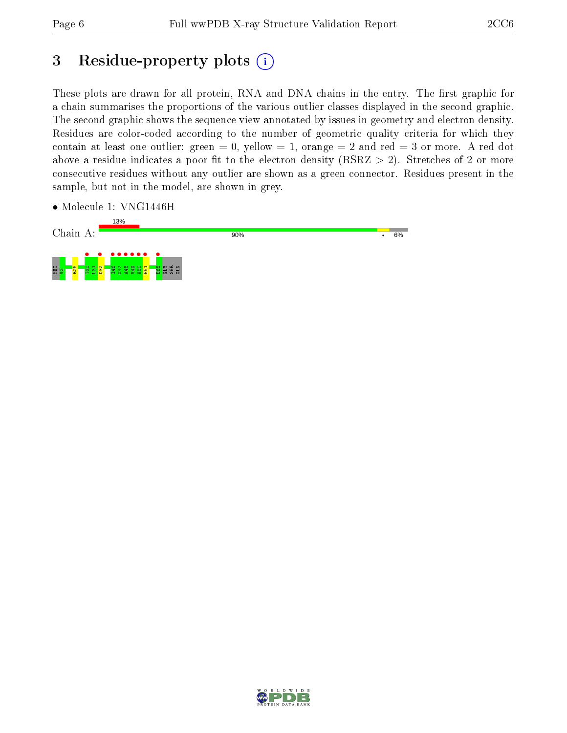## 3 Residue-property plots  $(i)$

These plots are drawn for all protein, RNA and DNA chains in the entry. The first graphic for a chain summarises the proportions of the various outlier classes displayed in the second graphic. The second graphic shows the sequence view annotated by issues in geometry and electron density. Residues are color-coded according to the number of geometric quality criteria for which they contain at least one outlier: green  $= 0$ , yellow  $= 1$ , orange  $= 2$  and red  $= 3$  or more. A red dot above a residue indicates a poor fit to the electron density (RSRZ  $> 2$ ). Stretches of 2 or more consecutive residues without any outlier are shown as a green connector. Residues present in the sample, but not in the model, are shown in grey.

• Molecule 1: VNG1446H



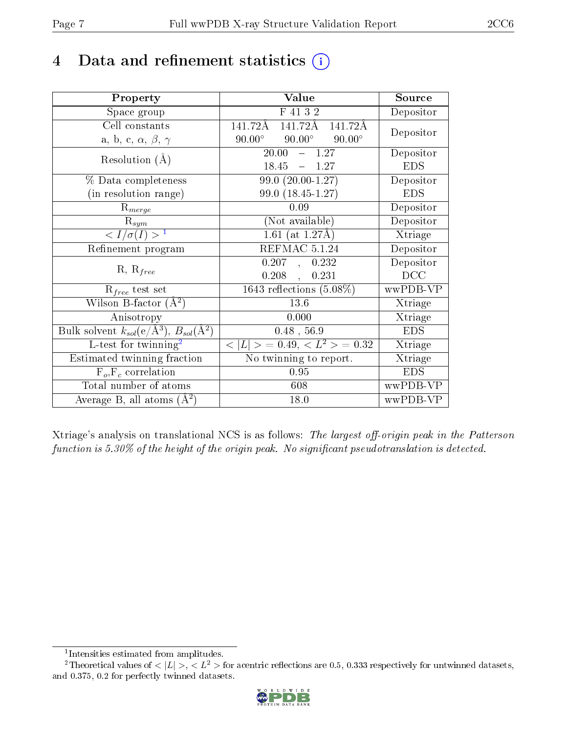## 4 Data and refinement statistics  $(i)$

| Property                                                   | Value                                           | Source     |
|------------------------------------------------------------|-------------------------------------------------|------------|
| Space group                                                | F 41 3 2                                        | Depositor  |
| Cell constants                                             | 141.72Å<br>141.72Å<br>141.72Å                   | Depositor  |
| a, b, c, $\alpha$ , $\beta$ , $\gamma$                     | $90.00^\circ$<br>$90.00^\circ$<br>$90.00^\circ$ |            |
| Resolution $(A)$                                           | 20.00<br>$-1.27$                                | Depositor  |
|                                                            | 18.45<br>$-1.27$                                | <b>EDS</b> |
| % Data completeness                                        | $99.0(20.00-1.27)$                              | Depositor  |
| (in resolution range)                                      | 99.0 (18.45-1.27)                               | <b>EDS</b> |
| $R_{merge}$                                                | 0.09                                            | Depositor  |
| $\mathrm{R}_{sym}$                                         | (Not available)                                 | Depositor  |
| $\langle I/\sigma(I) \rangle^{-1}$                         | $1.61$ (at 1.27Å)                               | Xtriage    |
| Refinement program                                         | REFMAC 5.1.24                                   | Depositor  |
|                                                            | 0.207, 0.232                                    | Depositor  |
| $R, R_{free}$                                              | 0.208<br>0.231                                  | DCC        |
| $R_{free}$ test set                                        | 1643 reflections $(5.08\%)$                     | wwPDB-VP   |
| Wilson B-factor $(A^2)$                                    | 13.6                                            | Xtriage    |
| Anisotropy                                                 | 0.000                                           | Xtriage    |
| Bulk solvent $k_{sol}$ (e/Å <sup>3</sup> ), $B_{sol}(A^2)$ | $0.48$ , 56.9                                   | <b>EDS</b> |
| L-test for twinning <sup>2</sup>                           | $< L >$ = 0.49, $< L2$ > = 0.32                 | Xtriage    |
| Estimated twinning fraction                                | No twinning to report.                          | Xtriage    |
| $\overline{F_o, F_c}$ correlation                          | 0.95                                            | EDS        |
| Total number of atoms                                      | 608                                             | wwPDB-VP   |
| Average B, all atoms $(A^2)$                               | 18.0                                            | wwPDB-VP   |

Xtriage's analysis on translational NCS is as follows: The largest off-origin peak in the Patterson function is  $5.30\%$  of the height of the origin peak. No significant pseudotranslation is detected.

<sup>&</sup>lt;sup>2</sup>Theoretical values of  $\langle |L| \rangle$ ,  $\langle L^2 \rangle$  for acentric reflections are 0.5, 0.333 respectively for untwinned datasets, and 0.375, 0.2 for perfectly twinned datasets.



<span id="page-6-1"></span><span id="page-6-0"></span><sup>1</sup> Intensities estimated from amplitudes.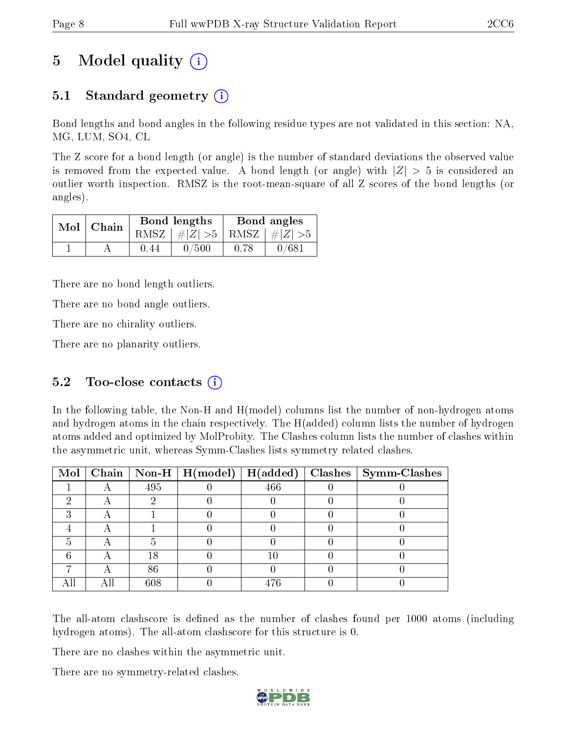## 5 Model quality  $(i)$

### 5.1 Standard geometry  $\overline{()}$

Bond lengths and bond angles in the following residue types are not validated in this section: NA, MG, LUM, SO4, CL

The Z score for a bond length (or angle) is the number of standard deviations the observed value is removed from the expected value. A bond length (or angle) with  $|Z| > 5$  is considered an outlier worth inspection. RMSZ is the root-mean-square of all Z scores of the bond lengths (or angles).

|  | $Mol$   Chain |        | Bond lengths                    | Bond angles |       |  |
|--|---------------|--------|---------------------------------|-------------|-------|--|
|  |               |        | RMSZ $ #Z  > 5$ RMSZ $ #Z  > 5$ |             |       |  |
|  |               | (1.44) | 0/500                           | 0.78        | 0/681 |  |

There are no bond length outliers.

There are no bond angle outliers.

There are no chirality outliers.

There are no planarity outliers.

### 5.2 Too-close contacts  $(i)$

In the following table, the Non-H and H(model) columns list the number of non-hydrogen atoms and hydrogen atoms in the chain respectively. The H(added) column lists the number of hydrogen atoms added and optimized by MolProbity. The Clashes column lists the number of clashes within the asymmetric unit, whereas Symm-Clashes lists symmetry related clashes.

|  |     |     | Mol   Chain   Non-H   H(model)   H(added)   Clashes   Symm-Clashes |
|--|-----|-----|--------------------------------------------------------------------|
|  | 495 | 466 |                                                                    |
|  |     |     |                                                                    |
|  |     |     |                                                                    |
|  |     |     |                                                                    |
|  |     |     |                                                                    |
|  | 18  | 10  |                                                                    |
|  | 86  |     |                                                                    |
|  | 608 | 476 |                                                                    |

The all-atom clashscore is defined as the number of clashes found per 1000 atoms (including hydrogen atoms). The all-atom clashscore for this structure is 0.

There are no clashes within the asymmetric unit.

There are no symmetry-related clashes.

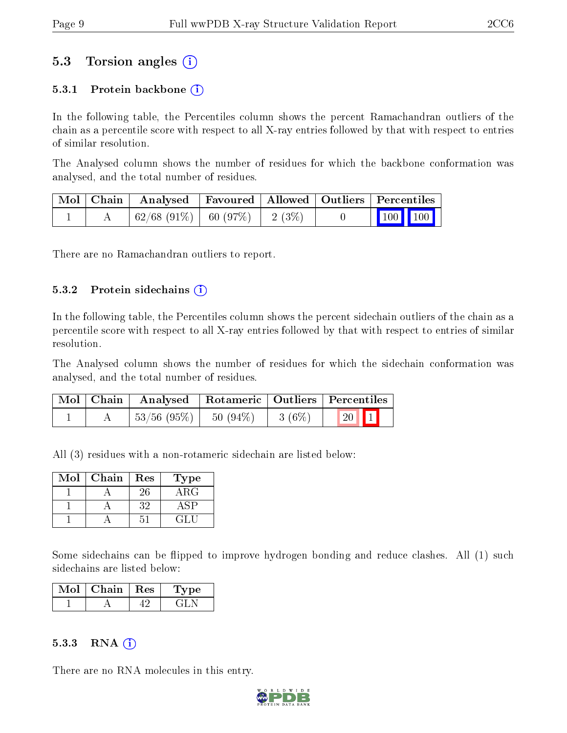### 5.3 Torsion angles (i)

#### 5.3.1 Protein backbone  $(i)$

In the following table, the Percentiles column shows the percent Ramachandran outliers of the chain as a percentile score with respect to all X-ray entries followed by that with respect to entries of similar resolution.

The Analysed column shows the number of residues for which the backbone conformation was analysed, and the total number of residues.

|  | Mol   Chain   Analysed   Favoured   Allowed   Outliers   Percentiles |  |                                                            |  |
|--|----------------------------------------------------------------------|--|------------------------------------------------------------|--|
|  | $\mid 62/68 \; (91\%) \mid 60 \; (97\%) \mid 2 \; (3\%) \mid$        |  | $\begin{array}{ c c c c }\n\hline\n100 & 100\n\end{array}$ |  |

There are no Ramachandran outliers to report.

#### $5.3.2$  Protein sidechains  $(i)$

In the following table, the Percentiles column shows the percent sidechain outliers of the chain as a percentile score with respect to all X-ray entries followed by that with respect to entries of similar resolution.

The Analysed column shows the number of residues for which the sidechain conformation was analysed, and the total number of residues.

| Mol   Chain | Analysed   Rotameric   Outliers   Percentiles |          |                          |  |
|-------------|-----------------------------------------------|----------|--------------------------|--|
|             | $\mid 53/56 \; (95\%) \mid 50 \; (94\%)$      | $3(6\%)$ | $\boxed{20}$ $\boxed{1}$ |  |

All (3) residues with a non-rotameric sidechain are listed below:

| $\operatorname{Mol}$ | Chain | Res | Type       |
|----------------------|-------|-----|------------|
|                      |       | 26  | $\rm{ARG}$ |
|                      |       | 32  |            |
|                      |       |     |            |

Some sidechains can be flipped to improve hydrogen bonding and reduce clashes. All (1) such sidechains are listed below:

| Mol | Chain | Res | vpe |
|-----|-------|-----|-----|
|     |       |     |     |

#### $5.3.3$  RNA  $(i)$

There are no RNA molecules in this entry.

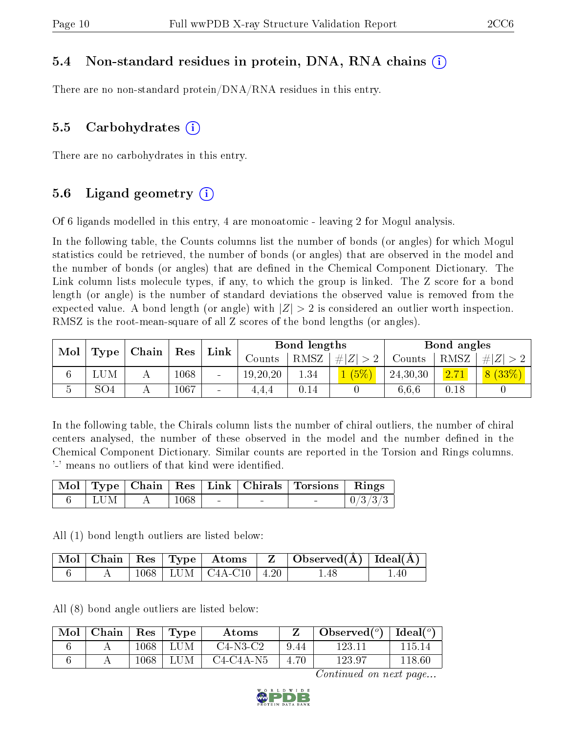#### 5.4 Non-standard residues in protein, DNA, RNA chains (i)

There are no non-standard protein/DNA/RNA residues in this entry.

#### 5.5 Carbohydrates (i)

There are no carbohydrates in this entry.

#### 5.6 Ligand geometry  $(i)$

Of 6 ligands modelled in this entry, 4 are monoatomic - leaving 2 for Mogul analysis.

In the following table, the Counts columns list the number of bonds (or angles) for which Mogul statistics could be retrieved, the number of bonds (or angles) that are observed in the model and the number of bonds (or angles) that are dened in the Chemical Component Dictionary. The Link column lists molecule types, if any, to which the group is linked. The Z score for a bond length (or angle) is the number of standard deviations the observed value is removed from the expected value. A bond length (or angle) with  $|Z| > 2$  is considered an outlier worth inspection. RMSZ is the root-mean-square of all Z scores of the bond lengths (or angles).

| Mol<br>Type | Chain           |  | Link     |        | Bond lengths |          |             | Bond angles |      |         |
|-------------|-----------------|--|----------|--------|--------------|----------|-------------|-------------|------|---------|
|             |                 |  | Res      |        | Counts-      | RMSZ     | $\# Z  > 2$ | Counts      | RMSZ | $\# Z $ |
|             | LUM             |  | $1068\,$ | -      | 19, 20, 20   | 1.34     | (5%)        | 24,30,30    | 2.71 | 8(33%)  |
| Ð           | SO <sub>4</sub> |  | 1067     | $\sim$ | 4.4.4        | $0.14\,$ |             | 6.6.6       | 0.18 |         |

In the following table, the Chirals column lists the number of chiral outliers, the number of chiral centers analysed, the number of these observed in the model and the number defined in the Chemical Component Dictionary. Similar counts are reported in the Torsion and Rings columns. '-' means no outliers of that kind were identified.

|     |      |        |        | Mol   Type   Chain   Res   Link   Chirals   Torsions   Rings |         |
|-----|------|--------|--------|--------------------------------------------------------------|---------|
| LUM | 1068 | $\sim$ | $\sim$ | $\equiv$                                                     | 0/3/3/3 |

All (1) bond length outliers are listed below:

|  |  |                               | $\mid$ Mol $\mid$ Chain $\mid$ Res $\mid$ Type $\mid$ Atoms $\mid$ Z $\mid$ Observed(A) $\mid$ Ideal(A) $\mid$ |    |
|--|--|-------------------------------|----------------------------------------------------------------------------------------------------------------|----|
|  |  | $1068$   LUM   C4A-C10   4.20 | 1.48                                                                                                           | 40 |

All (8) bond angle outliers are listed below:

| Mol | Chain | Res      | Type | Atoms       | ,    | Observed $(°)$ | $\Delta$ Ideal( <sup>o\</sup> |
|-----|-------|----------|------|-------------|------|----------------|-------------------------------|
|     |       | $1068\,$ | M    | $C4-N3-C2$  | 9.44 | 123.           | 115 T4                        |
|     |       | 1068     | LUM  | $C4-C4A-N5$ | 70   | 123.97         | 118 GC                        |

Continued on next page...

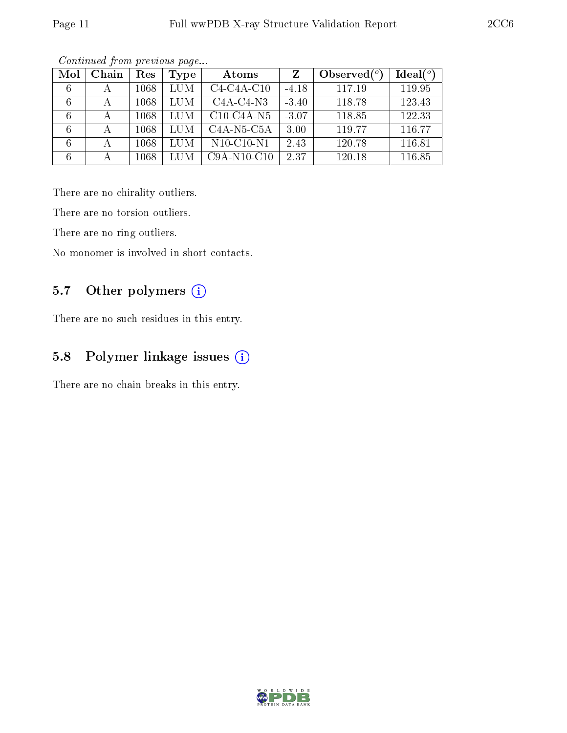| Mol | Chain | Res  | <b>Type</b> | Atoms                                             | Z       | Observed $(°)$ | Ideal $(°)$ |
|-----|-------|------|-------------|---------------------------------------------------|---------|----------------|-------------|
|     |       | 1068 | LUM         | $C4-C4A-C10$                                      | $-4.18$ | 117.19         | 119.95      |
|     | А     | 1068 | LUM         | $C4A-C4-N3$                                       | $-3.40$ | 118.78         | 123.43      |
|     |       | 1068 | LUM         | $C10-C4A-N5$                                      | $-3.07$ | 118.85         | 122.33      |
|     |       | 1068 | LUM         | C <sub>4</sub> A-N <sub>5</sub> -C <sub>5</sub> A | 3.00    | 119.77         | 116.77      |
|     |       | 1068 | LUM         | $N10$ -C10- $N1$                                  | 2.43    | 120.78         | 116.81      |
|     |       | 1068 | LUM         | $C9A-N10-C10$                                     | 2.37    | 120.18         | 116.85      |

Continued from previous page...

There are no chirality outliers.

There are no torsion outliers.

There are no ring outliers.

No monomer is involved in short contacts.

### 5.7 [O](https://www.wwpdb.org/validation/2017/XrayValidationReportHelp#nonstandard_residues_and_ligands)ther polymers (i)

There are no such residues in this entry.

### 5.8 Polymer linkage issues (i)

There are no chain breaks in this entry.

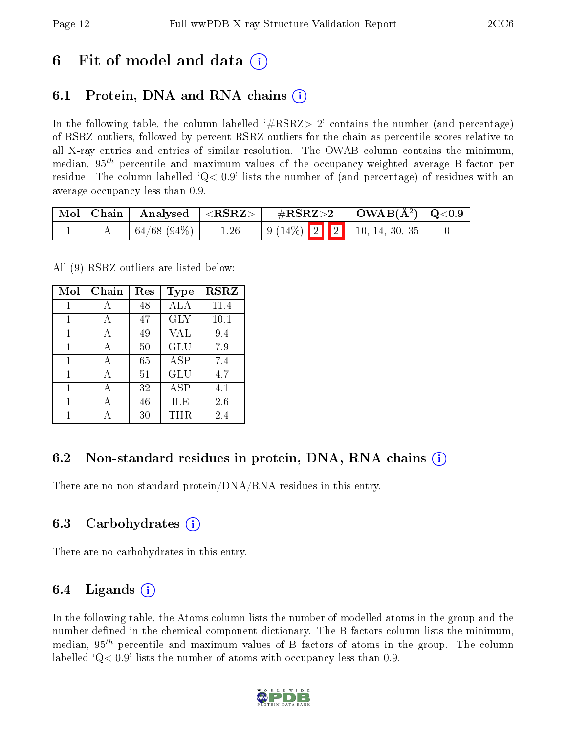## 6 Fit of model and data  $\left( \cdot \right)$

### 6.1 Protein, DNA and RNA chains (i)

In the following table, the column labelled  $#RSRZ>2'$  contains the number (and percentage) of RSRZ outliers, followed by percent RSRZ outliers for the chain as percentile scores relative to all X-ray entries and entries of similar resolution. The OWAB column contains the minimum, median,  $95<sup>th</sup>$  percentile and maximum values of the occupancy-weighted average B-factor per residue. The column labelled  $Q< 0.9$  lists the number of (and percentage) of residues with an average occupancy less than 0.9.

| $\mid$ Mol $\mid$ Chain $\mid$ | $\mid$ Analysed $\mid$ <rsrz> <math>\mid</math></rsrz> |      | $\rm \#RSRZ{>}2$                                                                                     | $\vert$ OWAB( $\rm{\AA}^{2}$ ) $\vert$ Q<0.9 |  |
|--------------------------------|--------------------------------------------------------|------|------------------------------------------------------------------------------------------------------|----------------------------------------------|--|
|                                | $\pm 64/68$ (94\%) $\pm$                               | 1.26 | $\begin{array}{ c c c c c c c c c } \hline 9 & (14\%) & 2 & 2 & 10, 14, 30, 35 \\\hline \end{array}$ |                                              |  |

All (9) RSRZ outliers are listed below:

| Mol | Chain        | Res | <b>Type</b>  | <b>RSRZ</b> |  |
|-----|--------------|-----|--------------|-------------|--|
| 1   | А            | 48  | ALA          | 11.4        |  |
| 1   | A            | 47  | <b>GLY</b>   | 10.1        |  |
| 1   | $\mathsf{A}$ | 49  | VAL          | 9.4         |  |
| 1   | А            | 50  | <b>GLU</b>   | 7.9         |  |
| 1   | A            | 65  | <b>ASP</b>   | 7.4         |  |
| 1   | A            | 51  | GLU          | 4.7         |  |
| 1   | А            | 32  | $_{\rm ASP}$ | 4.1         |  |
| 1   | $\mathsf{A}$ | 46  | ILE          | 2.6         |  |
|     |              | 30  | THR.         | 2.4         |  |

### 6.2 Non-standard residues in protein, DNA, RNA chains  $(i)$

There are no non-standard protein/DNA/RNA residues in this entry.

#### 6.3 Carbohydrates (i)

There are no carbohydrates in this entry.

### 6.4 Ligands  $(i)$

In the following table, the Atoms column lists the number of modelled atoms in the group and the number defined in the chemical component dictionary. The B-factors column lists the minimum, median,  $95<sup>th</sup>$  percentile and maximum values of B factors of atoms in the group. The column labelled  $Q< 0.9$  lists the number of atoms with occupancy less than 0.9.